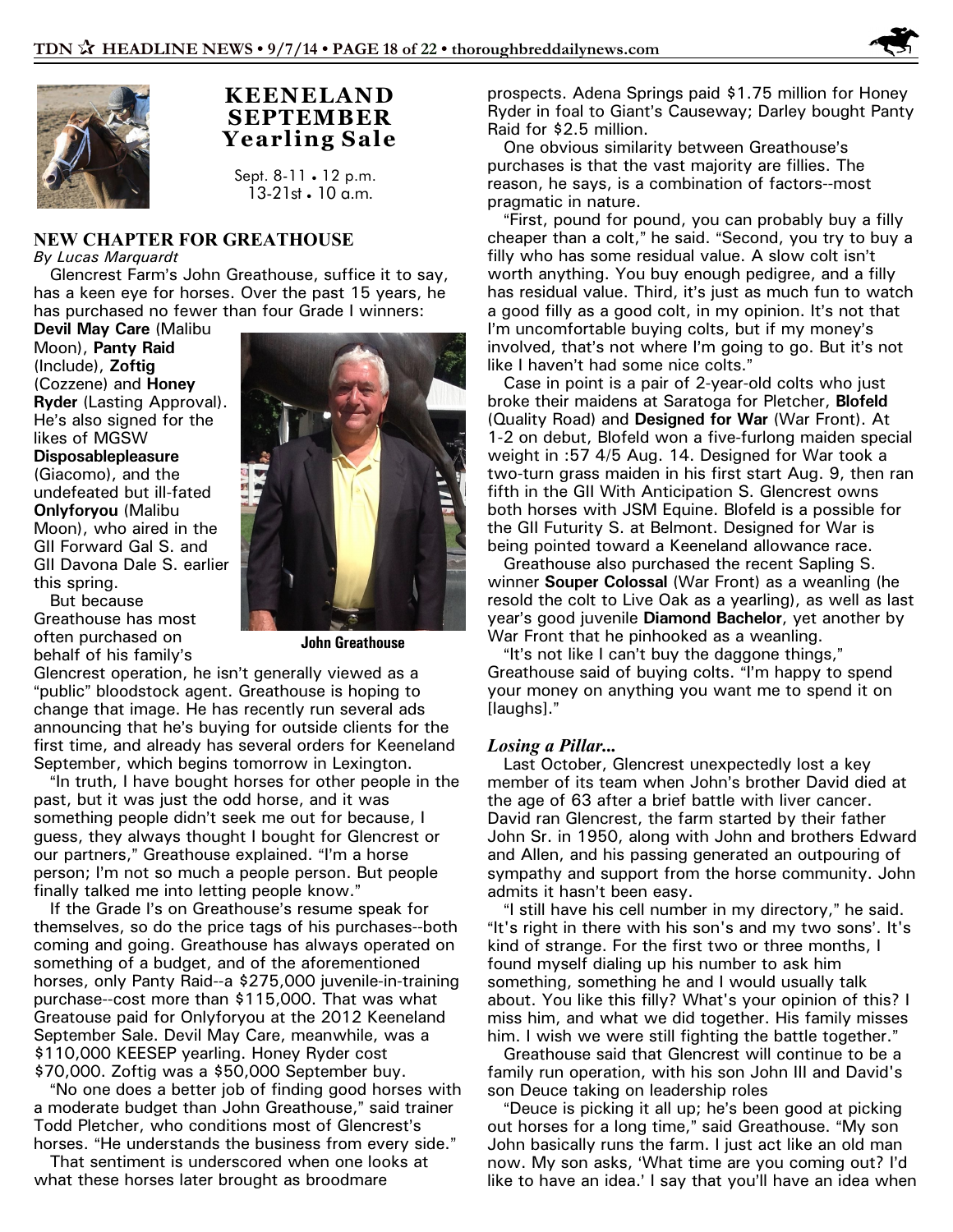

## **KEENELAND SEPTEMBER Yearling Sale**

Sept.  $8-11 \cdot 12$  p.m. 13-21st • 10 a.m.

## **NEW CHAPTER FOR GREATHOUSE**

*By Lucas Marquardt*

Glencrest Farm's John Greathouse, suffice it to say, has a keen eye for horses. Over the past 15 years, he has purchased no fewer than four Grade I winners:

**Devil May Care** (Malibu Moon), **Panty Raid** (Include), **Zoftig** (Cozzene) and **Honey Ryder** (Lasting Approval). He's also signed for the likes of MGSW

**Disposablepleasure** (Giacomo), and the undefeated but ill-fated **Onlyforyou** (Malibu Moon), who aired in the GII Forward Gal S. and GII Davona Dale S. earlier this spring.

But because Greathouse has most often purchased on behalf of his family's



**John Greathouse**

Glencrest operation, he isn't generally viewed as a "public" bloodstock agent. Greathouse is hoping to change that image. He has recently run several ads announcing that he's buying for outside clients for the first time, and already has several orders for Keeneland September, which begins tomorrow in Lexington.

"In truth, I have bought horses for other people in the past, but it was just the odd horse, and it was something people didn't seek me out for because, I guess, they always thought I bought for Glencrest or our partners," Greathouse explained. "I'm a horse person; I'm not so much a people person. But people finally talked me into letting people know."

If the Grade I's on Greathouse's resume speak for themselves, so do the price tags of his purchases--both coming and going. Greathouse has always operated on something of a budget, and of the aforementioned horses, only Panty Raid--a \$275,000 juvenile-in-training purchase--cost more than \$115,000. That was what Greatouse paid for Onlyforyou at the 2012 Keeneland September Sale. Devil May Care, meanwhile, was a \$110,000 KEESEP yearling. Honey Ryder cost \$70,000. Zoftig was a \$50,000 September buy.

"No one does a better job of finding good horses with a moderate budget than John Greathouse," said trainer Todd Pletcher, who conditions most of Glencrest's horses. "He understands the business from every side."

That sentiment is underscored when one looks at what these horses later brought as broodmare

prospects. Adena Springs paid \$1.75 million for Honey Ryder in foal to Giant's Causeway; Darley bought Panty Raid for \$2.5 million.

One obvious similarity between Greathouse's purchases is that the vast majority are fillies. The reason, he says, is a combination of factors--most pragmatic in nature.

"First, pound for pound, you can probably buy a filly cheaper than a colt," he said. "Second, you try to buy a filly who has some residual value. A slow colt isn't worth anything. You buy enough pedigree, and a filly has residual value. Third, it's just as much fun to watch a good filly as a good colt, in my opinion. It's not that I'm uncomfortable buying colts, but if my money's involved, that's not where I'm going to go. But it's not like I haven't had some nice colts."

Case in point is a pair of 2-year-old colts who just broke their maidens at Saratoga for Pletcher, **Blofeld** (Quality Road) and **Designed for War** (War Front). At 1-2 on debut, Blofeld won a five-furlong maiden special weight in :57 4/5 Aug. 14. Designed for War took a two-turn grass maiden in his first start Aug. 9, then ran fifth in the GII With Anticipation S. Glencrest owns both horses with JSM Equine. Blofeld is a possible for the GII Futurity S. at Belmont. Designed for War is being pointed toward a Keeneland allowance race.

Greathouse also purchased the recent Sapling S. winner **Souper Colossal** (War Front) as a weanling (he resold the colt to Live Oak as a yearling), as well as last year's good juvenile **Diamond Bachelor**, yet another by War Front that he pinhooked as a weanling.

"It's not like I can't buy the daggone things," Greathouse said of buying colts. "I'm happy to spend your money on anything you want me to spend it on [laughs]."

## *Losing a Pillar...*

Last October, Glencrest unexpectedly lost a key member of its team when John's brother David died at the age of 63 after a brief battle with liver cancer. David ran Glencrest, the farm started by their father John Sr. in 1950, along with John and brothers Edward and Allen, and his passing generated an outpouring of sympathy and support from the horse community. John admits it hasn't been easy.

"I still have his cell number in my directory," he said. "It's right in there with his son's and my two sons'. It's kind of strange. For the first two or three months, I found myself dialing up his number to ask him something, something he and I would usually talk about. You like this filly? What's your opinion of this? I miss him, and what we did together. His family misses him. I wish we were still fighting the battle together."

Greathouse said that Glencrest will continue to be a family run operation, with his son John III and David's son Deuce taking on leadership roles

"Deuce is picking it all up; he's been good at picking out horses for a long time," said Greathouse. "My son John basically runs the farm. I just act like an old man now. My son asks, 'What time are you coming out? I'd like to have an idea.' I say that you'll have an idea when